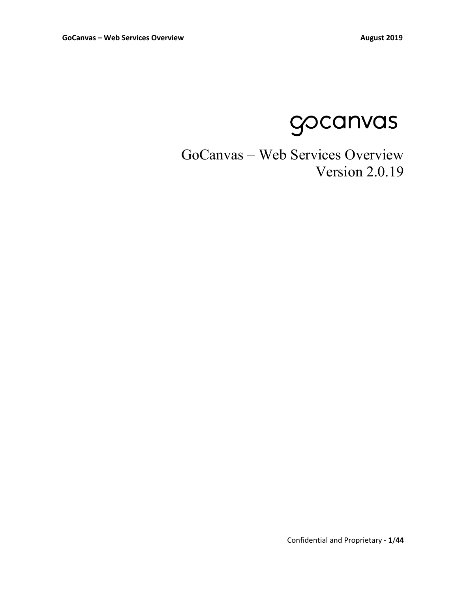gocanvas

# GoCanvas – Web Services Overview Version 2.0.19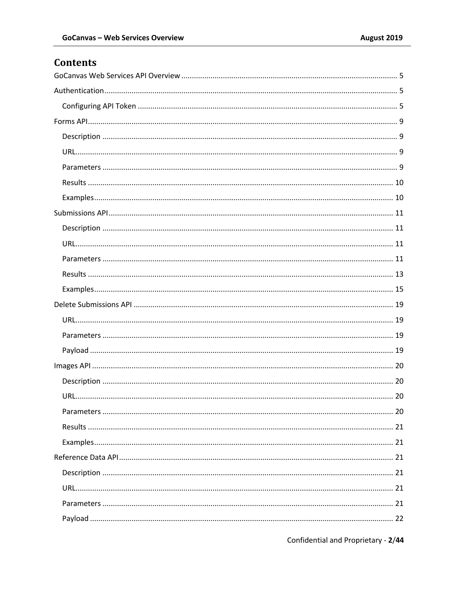# **Contents**

Confidential and Proprietary - 2/44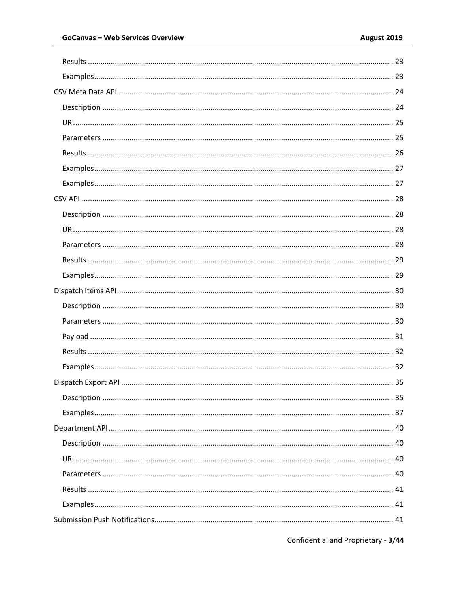Confidential and Proprietary - 3/44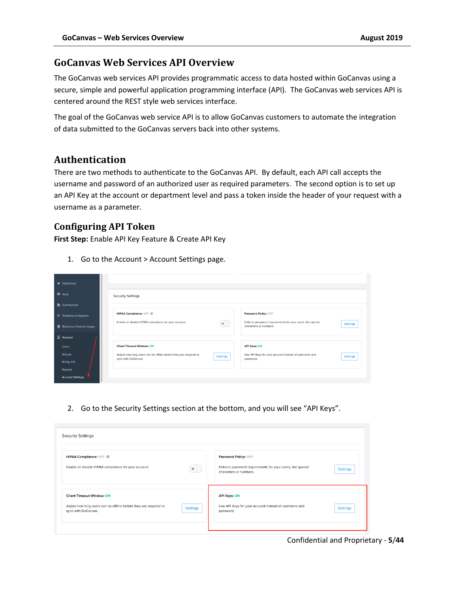### **GoCanvas Web Services API Overview**

The GoCanvas web services API provides programmatic access to data hosted within GoCanvas using a secure, simple and powerful application programming interface (API). The GoCanvas web services API is centered around the REST style web services interface.

The goal of the GoCanvas web service API is to allow GoCanvas customers to automate the integration of data submitted to the GoCanvas servers back into other systems.

### **Authentication**

There are two methods to authenticate to the GoCanvas API. By default, each API call accepts the username and password of an authorized user as required parameters. The second option is to set up an API Key at the account or department level and pass a token inside the header of your request with a username as a parameter.

### **Configuring API Token**

**First Step:** Enable API Key Feature & Create API Key

1. Go to the Account > Account Settings page.

| <b>*</b> Dashboard               |                                                                                                            |                                                                                                         |
|----------------------------------|------------------------------------------------------------------------------------------------------------|---------------------------------------------------------------------------------------------------------|
| <b>III</b> Apps                  | <b>Security Settings</b>                                                                                   |                                                                                                         |
| <b>B</b> Submissions             |                                                                                                            |                                                                                                         |
| C Workflow & Dispatch            | HIPAA Compliance: OFF @                                                                                    | Password Policy: OFF                                                                                    |
| <b>E</b> Reference Data & Images | Enable or disable HIPAA compliance for your account.<br>$\infty$ )                                         | Enforce password requirements for your users, like special<br><b>Settings</b><br>characters or numbers. |
| □ Account                        |                                                                                                            |                                                                                                         |
| <b>Users</b>                     | <b>Client Timeout Window: ON</b>                                                                           | <b>API Keys: ON</b>                                                                                     |
| Groups                           | Adjust how long users can be offline before they are required to<br><b>Settings</b><br>sync with GoCanvas. | Use API Keys for your account instead of username and<br><b>Settings</b>                                |
| <b>Billing Info</b>              |                                                                                                            | password.                                                                                               |
| Reports                          |                                                                                                            |                                                                                                         |
| <b>Account Settings</b>          |                                                                                                            |                                                                                                         |

2. Go to the Security Settings section at the bottom, and you will see "API Keys".

| <b>Security Settings</b>                                                                                                                       |                                                                                                                                 |
|------------------------------------------------------------------------------------------------------------------------------------------------|---------------------------------------------------------------------------------------------------------------------------------|
| HIPAA Compliance: OFF @<br>Enable or disable HIPAA compliance for your account.<br>$\mathbf{x}$ )                                              | Password Policy: OFF<br>Enforce password requirements for your users, like special<br><b>Settings</b><br>characters or numbers. |
| <b>Client Timeout Window: ON</b><br>Adjust how long users can be offline before they are required to<br><b>Settings</b><br>sync with GoCanvas. | <b>API Keys: ON</b><br>Use API Keys for your account instead of username and<br><b>Settings</b><br>password.                    |

Confidential and Proprietary - **5**/**44**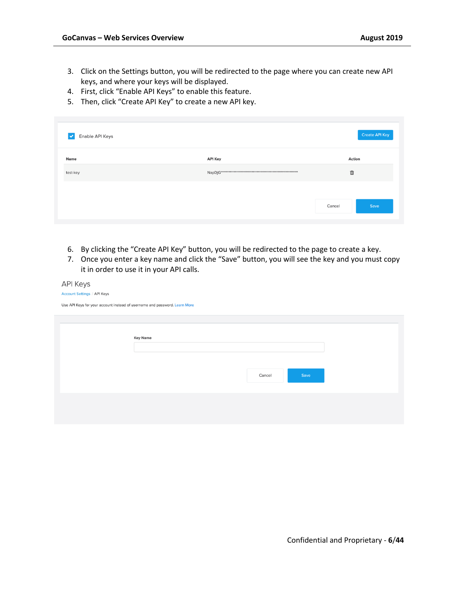- 3. Click on the Settings button, you will be redirected to the page where you can create new API keys, and where your keys will be displayed.
- 4. First, click "Enable API Keys" to enable this feature.
- 5. Then, click "Create API Key" to create a new API key.

| Enable API Keys<br>$\vert\downarrow\vert$ |                | <b>Create API Key</b> |
|-------------------------------------------|----------------|-----------------------|
| Name                                      | <b>API Key</b> | Action                |
| test-key                                  |                | 面                     |
|                                           |                |                       |
|                                           |                | Save<br>Cancel        |
|                                           |                |                       |

- 6. By clicking the "Create API Key" button, you will be redirected to the page to create a key.
- 7. Once you enter a key name and click the "Save" button, you will see the key and you must copy it in order to use it in your API calls.

Cancel

| <b>API Keys</b>                                                            |
|----------------------------------------------------------------------------|
| <b>Account Settings / API Keys</b>                                         |
| Use API Keys for your account instead of username and password. Learn More |
|                                                                            |
| <b>Key Name</b>                                                            |
|                                                                            |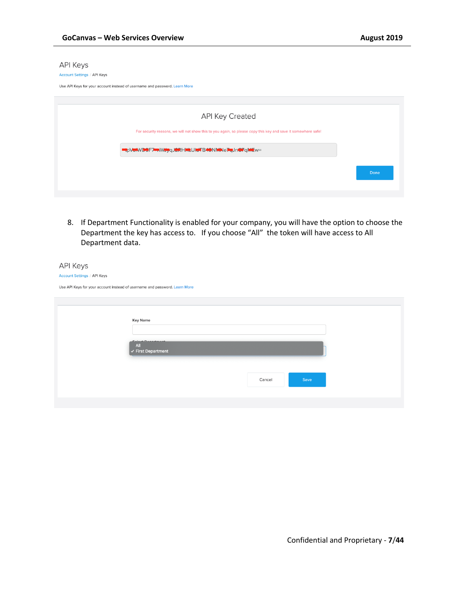#### **API Keys**

#### Account Settings / API Keys

Use API Keys for your account instead of username and password. Learn More

| API Key Created                                                                                               |      |
|---------------------------------------------------------------------------------------------------------------|------|
| For security reasons, we will not show this to you again, so please copy this key and save it somewhere safe! |      |
| EtpVo#WDOF7EnWoyqJ&RHMLUNTB40NMNeFeJnO7qMEw=                                                                  |      |
|                                                                                                               | Done |
|                                                                                                               |      |

8. If Department Functionality is enabled for your company, you will have the option to choose the Department the key has access to. If you choose "All" the token will have access to All Department data.

| <b>API Keys</b>                    |                                                                            |  |  |  |
|------------------------------------|----------------------------------------------------------------------------|--|--|--|
| <b>Account Settings / API Keys</b> |                                                                            |  |  |  |
|                                    | Use API Keys for your account instead of username and password. Learn More |  |  |  |
|                                    |                                                                            |  |  |  |
|                                    |                                                                            |  |  |  |
|                                    | <b>Key Name</b>                                                            |  |  |  |
|                                    |                                                                            |  |  |  |
|                                    | Colonic Domesticant                                                        |  |  |  |
|                                    | All<br>$\checkmark$ First Department                                       |  |  |  |
|                                    |                                                                            |  |  |  |
|                                    |                                                                            |  |  |  |
|                                    | Save<br>Cancel                                                             |  |  |  |
|                                    |                                                                            |  |  |  |
|                                    |                                                                            |  |  |  |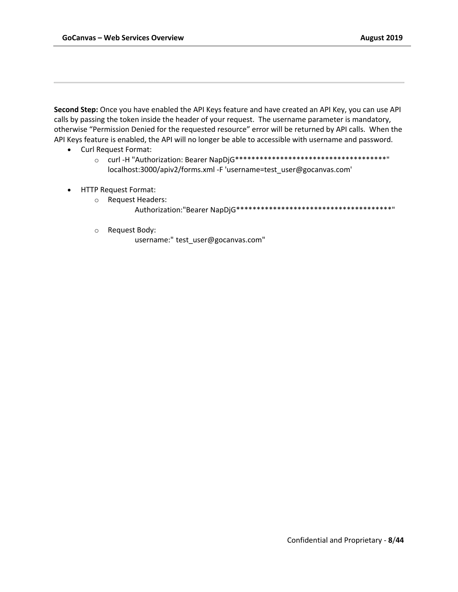**Second Step:** Once you have enabled the API Keys feature and have created an API Key, you can use API calls by passing the token inside the header of your request. The username parameter is mandatory, otherwise "Permission Denied for the requested resource" error will be returned by API calls. When the API Keys feature is enabled, the API will no longer be able to accessible with username and password.

- Curl Request Format:
	- o curl -H "Authorization: Bearer NapDjG\*\*\*\*\*\*\*\*\*\*\*\*\*\*\*\*\*\*\*\*\*\*\*\*\*\*\*\*\*\*\*\*\*\*\*\*\*" localhost:3000/apiv2/forms.xml -F 'username=test\_user@gocanvas.com'
- HTTP Request Format:
	- o Request Headers:
		- Authorization:"Bearer NapDjG\*\*\*\*\*\*\*\*\*\*\*\*\*\*\*\*\*\*\*\*\*\*\*\*\*\*\*\*\*\*\*\*\*\*\*\*\*\*"
	- o Request Body:

username:" test\_user@gocanvas.com"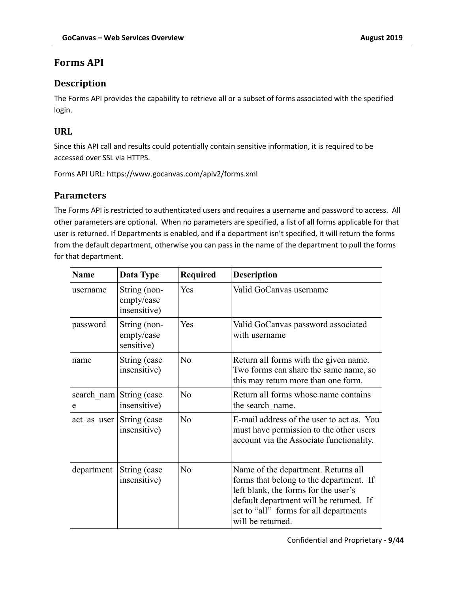# **Forms API**

### **Description**

The Forms API provides the capability to retrieve all or a subset of forms associated with the specified login.

### **URL**

Since this API call and results could potentially contain sensitive information, it is required to be accessed over SSL via HTTPS.

Forms API URL: https://www.gocanvas.com/apiv2/forms.xml

### **Parameters**

The Forms API is restricted to authenticated users and requires a username and password to access. All other parameters are optional. When no parameters are specified, a list of all forms applicable for that user is returned. If Departments is enabled, and if a department isn't specified, it will return the forms from the default department, otherwise you can pass in the name of the department to pull the forms for that department.

| <b>Name</b> | Data Type                                  | <b>Required</b> | <b>Description</b>                                                                                                                                                                                                               |
|-------------|--------------------------------------------|-----------------|----------------------------------------------------------------------------------------------------------------------------------------------------------------------------------------------------------------------------------|
| username    | String (non-<br>empty/case<br>insensitive) | Yes             | Valid GoCanvas username                                                                                                                                                                                                          |
| password    | String (non-<br>empty/case<br>sensitive)   | Yes             | Valid GoCanvas password associated<br>with username                                                                                                                                                                              |
| name        | String (case<br>insensitive)               | N <sub>o</sub>  | Return all forms with the given name.<br>Two forms can share the same name, so<br>this may return more than one form.                                                                                                            |
| e           | search nam String (case<br>insensitive)    | No              | Return all forms whose name contains<br>the search name.                                                                                                                                                                         |
| act as user | String (case<br>insensitive)               | N <sub>o</sub>  | E-mail address of the user to act as. You<br>must have permission to the other users<br>account via the Associate functionality.                                                                                                 |
| department  | String (case<br>insensitive)               | No              | Name of the department. Returns all<br>forms that belong to the department. If<br>left blank, the forms for the user's<br>default department will be returned. If<br>set to "all" forms for all departments<br>will be returned. |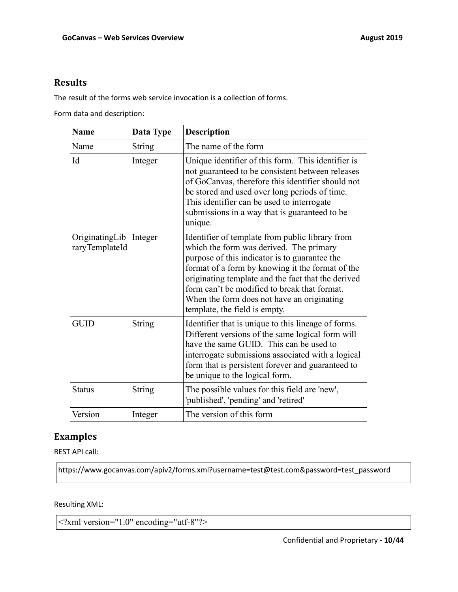### **Results**

The result of the forms web service invocation is a collection of forms.

Form data and description:

| <b>Name</b>                      | Data Type     | <b>Description</b>                                                                                                                                                                                                                                                                                                                                                                   |
|----------------------------------|---------------|--------------------------------------------------------------------------------------------------------------------------------------------------------------------------------------------------------------------------------------------------------------------------------------------------------------------------------------------------------------------------------------|
| Name                             | <b>String</b> | The name of the form                                                                                                                                                                                                                                                                                                                                                                 |
| Id                               | Integer       | Unique identifier of this form. This identifier is<br>not guaranteed to be consistent between releases<br>of GoCanvas, therefore this identifier should not<br>be stored and used over long periods of time.<br>This identifier can be used to interrogate<br>submissions in a way that is guaranteed to be<br>unique.                                                               |
| OriginatingLib<br>raryTemplateId | Integer       | Identifier of template from public library from<br>which the form was derived. The primary<br>purpose of this indicator is to guarantee the<br>format of a form by knowing it the format of the<br>originating template and the fact that the derived<br>form can't be modified to break that format.<br>When the form does not have an originating<br>template, the field is empty. |
| <b>GUID</b>                      | String        | Identifier that is unique to this lineage of forms.<br>Different versions of the same logical form will<br>have the same GUID. This can be used to<br>interrogate submissions associated with a logical<br>form that is persistent forever and guaranteed to<br>be unique to the logical form.                                                                                       |
| <b>Status</b>                    | <b>String</b> | The possible values for this field are 'new',<br>'published', 'pending' and 'retired'                                                                                                                                                                                                                                                                                                |
| Version                          | Integer       | The version of this form                                                                                                                                                                                                                                                                                                                                                             |

### **Examples**

REST API call:

https://www.gocanvas.com/apiv2/forms.xml?username=test@test.com&password=test\_password

Resulting XML:

<?xml version="1.0" encoding="utf-8"?>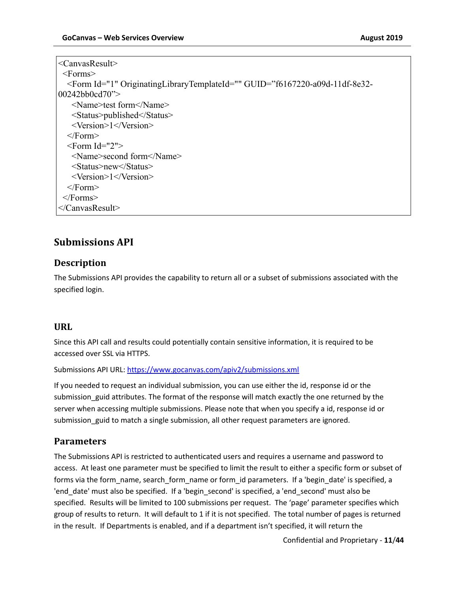```
<CanvasResult>
  <Forms>
   <Form Id="1" OriginatingLibraryTemplateId="" GUID="f6167220-a09d-11df-8e32-
00242bb0cd70">
    <Name>test form</Name>
    <Status>published</Status>
    <Version>1</Version>
   </Form>
  \leqForm Id="2">
    <Name>second form</Name>
    <Status>new</Status>
    <Version>1</Version>
  <Form> </Forms>
</CanvasResult>
```
## **Submissions API**

### **Description**

The Submissions API provides the capability to return all or a subset of submissions associated with the specified login.

#### **URL**

Since this API call and results could potentially contain sensitive information, it is required to be accessed over SSL via HTTPS.

Submissions API URL: https://www.gocanvas.com/apiv2/submissions.xml

If you needed to request an individual submission, you can use either the id, response id or the submission\_guid attributes. The format of the response will match exactly the one returned by the server when accessing multiple submissions. Please note that when you specify a id, response id or submission guid to match a single submission, all other request parameters are ignored.

### **Parameters**

The Submissions API is restricted to authenticated users and requires a username and password to access. At least one parameter must be specified to limit the result to either a specific form or subset of forms via the form name, search form name or form id parameters. If a 'begin date' is specified, a 'end\_date' must also be specified. If a 'begin\_second' is specified, a 'end\_second' must also be specified. Results will be limited to 100 submissions per request. The 'page' parameter specifies which group of results to return. It will default to 1 if it is not specified. The total number of pages is returned in the result. If Departments is enabled, and if a department isn't specified, it will return the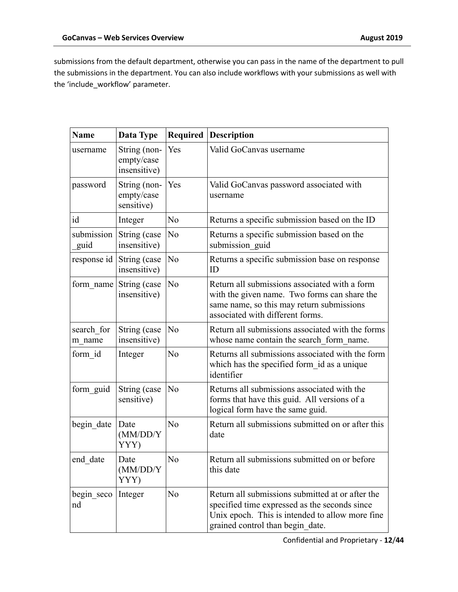submissions from the default department, otherwise you can pass in the name of the department to pull the submissions in the department. You can also include workflows with your submissions as well with the 'include\_workflow' parameter.

| <b>Name</b>          | Data Type                                  | Required       | <b>Description</b>                                                                                                                                                                       |
|----------------------|--------------------------------------------|----------------|------------------------------------------------------------------------------------------------------------------------------------------------------------------------------------------|
| username             | String (non-<br>empty/case<br>insensitive) | Yes            | Valid GoCanvas username                                                                                                                                                                  |
| password             | String (non-<br>empty/case<br>sensitive)   | Yes            | Valid GoCanvas password associated with<br>username                                                                                                                                      |
| id                   | Integer                                    | No             | Returns a specific submission based on the ID                                                                                                                                            |
| submission<br>guid   | String (case<br>insensitive)               | N <sub>o</sub> | Returns a specific submission based on the<br>submission guid                                                                                                                            |
| response id          | String (case<br>insensitive)               | N <sub>o</sub> | Returns a specific submission base on response<br>ID                                                                                                                                     |
| form name            | String (case<br>insensitive)               | N <sub>o</sub> | Return all submissions associated with a form<br>with the given name. Two forms can share the<br>same name, so this may return submissions<br>associated with different forms.           |
| search for<br>m name | String (case<br>insensitive)               | No             | Return all submissions associated with the forms<br>whose name contain the search form name.                                                                                             |
| form id              | Integer                                    | No             | Returns all submissions associated with the form<br>which has the specified form id as a unique<br>identifier                                                                            |
| form guid            | String (case<br>sensitive)                 | No             | Returns all submissions associated with the<br>forms that have this guid. All versions of a<br>logical form have the same guid.                                                          |
| begin_date           | Date<br>(MM/DD/Y<br>YYY)                   | N <sub>o</sub> | Return all submissions submitted on or after this<br>date                                                                                                                                |
| end date             | Date<br>(MM/DD/Y<br>YYY)                   | No             | Return all submissions submitted on or before<br>this date                                                                                                                               |
| begin seco<br>nd     | Integer                                    | N <sub>o</sub> | Return all submissions submitted at or after the<br>specified time expressed as the seconds since<br>Unix epoch. This is intended to allow more fine<br>grained control than begin date. |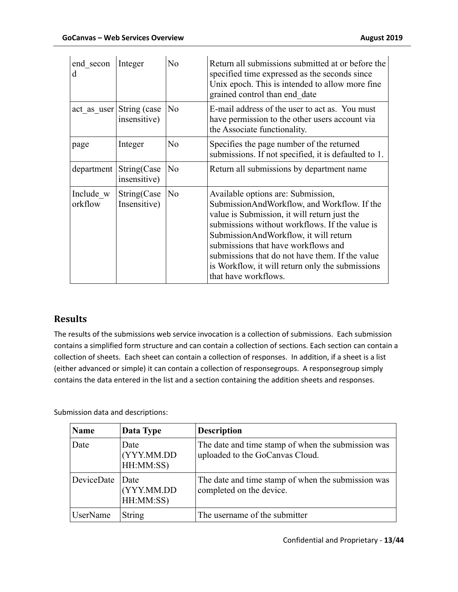| end secon<br>d       | Integer                                  | No             | Return all submissions submitted at or before the<br>specified time expressed as the seconds since<br>Unix epoch. This is intended to allow more fine<br>grained control than end date                                                                                                                                                                                                             |
|----------------------|------------------------------------------|----------------|----------------------------------------------------------------------------------------------------------------------------------------------------------------------------------------------------------------------------------------------------------------------------------------------------------------------------------------------------------------------------------------------------|
|                      | act as user String (case<br>insensitive) | No             | E-mail address of the user to act as. You must<br>have permission to the other users account via<br>the Associate functionality.                                                                                                                                                                                                                                                                   |
| page                 | Integer                                  | No             | Specifies the page number of the returned<br>submissions. If not specified, it is defaulted to 1.                                                                                                                                                                                                                                                                                                  |
| department           | String(Case<br>insensitive)              | No             | Return all submissions by department name.                                                                                                                                                                                                                                                                                                                                                         |
| Include w<br>orkflow | String(Case<br>Insensitive)              | N <sub>o</sub> | Available options are: Submission,<br>SubmissionAndWorkflow, and Workflow. If the<br>value is Submission, it will return just the<br>submissions without workflows. If the value is<br>SubmissionAndWorkflow, it will return<br>submissions that have workflows and<br>submissions that do not have them. If the value<br>is Workflow, it will return only the submissions<br>that have workflows. |

### **Results**

The results of the submissions web service invocation is a collection of submissions. Each submission contains a simplified form structure and can contain a collection of sections. Each section can contain a collection of sheets. Each sheet can contain a collection of responses. In addition, if a sheet is a list (either advanced or simple) it can contain a collection of responsegroups. A responsegroup simply contains the data entered in the list and a section containing the addition sheets and responses.

Submission data and descriptions:

| <b>Name</b> | Data Type                       | <b>Description</b>                                                                    |
|-------------|---------------------------------|---------------------------------------------------------------------------------------|
| Date        | Date<br>(YYY.MM.DD<br>HH:MM:SS) | The date and time stamp of when the submission was<br>uploaded to the GoCanvas Cloud. |
| DeviceDate  | Date<br>(YYY.MM.DD<br>HH:MM:SS) | The date and time stamp of when the submission was<br>completed on the device.        |
| UserName    | <b>String</b>                   | The username of the submitter                                                         |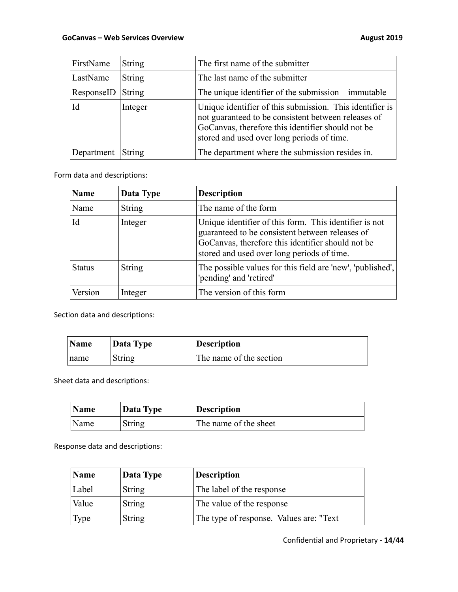| FirstName  | <b>String</b> | The first name of the submitter                                                                                                                                                                                    |
|------------|---------------|--------------------------------------------------------------------------------------------------------------------------------------------------------------------------------------------------------------------|
| LastName   | <b>String</b> | The last name of the submitter                                                                                                                                                                                     |
| ResponseID | String        | The unique identifier of the submission – immutable                                                                                                                                                                |
| Id         | Integer       | Unique identifier of this submission. This identifier is<br>not guaranteed to be consistent between releases of<br>GoCanvas, therefore this identifier should not be<br>stored and used over long periods of time. |
| Department | <b>String</b> | The department where the submission resides in.                                                                                                                                                                    |

Form data and descriptions:

| <b>Name</b>   | Data Type     | <b>Description</b>                                                                                                                                                                                           |
|---------------|---------------|--------------------------------------------------------------------------------------------------------------------------------------------------------------------------------------------------------------|
| Name          | <b>String</b> | The name of the form                                                                                                                                                                                         |
| Id            | Integer       | Unique identifier of this form. This identifier is not<br>guaranteed to be consistent between releases of<br>GoCanvas, therefore this identifier should not be<br>stored and used over long periods of time. |
| <b>Status</b> | <b>String</b> | The possible values for this field are 'new', 'published',<br>'pending' and 'retired'                                                                                                                        |
| Version       | Integer       | The version of this form                                                                                                                                                                                     |

Section data and descriptions:

| Name | Data Type | <b>Description</b>      |
|------|-----------|-------------------------|
| name | String    | The name of the section |

Sheet data and descriptions:

| Name | Data Type | <b>Description</b>    |
|------|-----------|-----------------------|
| Name | String    | The name of the sheet |

Response data and descriptions:

| Name  | Data Type     | <b>Description</b>                      |
|-------|---------------|-----------------------------------------|
| Label | <b>String</b> | The label of the response               |
| Value | <b>String</b> | The value of the response               |
| Type  | <b>String</b> | The type of response. Values are: "Text |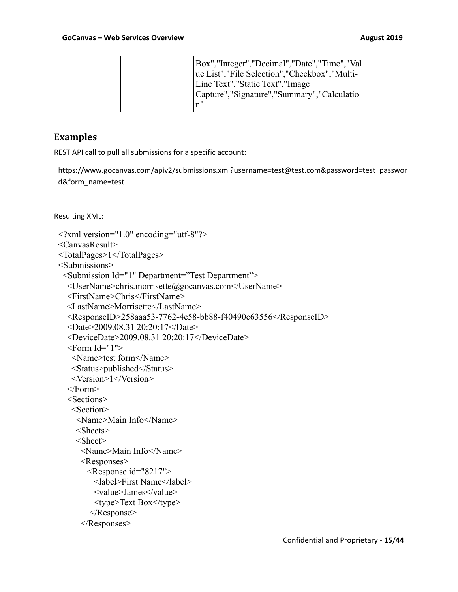|  |  | Box","Integer","Decimal","Date","Time","Val<br>ue List", "File Selection", "Checkbox", "Multi-<br>Line Text", "Static Text", "Image<br> Capture","Signature","Summary","Calculatio<br>n" |
|--|--|------------------------------------------------------------------------------------------------------------------------------------------------------------------------------------------|
|--|--|------------------------------------------------------------------------------------------------------------------------------------------------------------------------------------------|

### **Examples**

REST API call to pull all submissions for a specific account:

https://www.gocanvas.com/apiv2/submissions.xml?username=test@test.com&password=test\_passwor d&form\_name=test

Resulting XML:

```
<?xml version="1.0" encoding="utf-8"?>
<CanvasResult>
<TotalPages>1</TotalPages>
<Submissions>
  <Submission Id="1" Department="Test Department">
   <UserName>chris.morrisette@gocanvas.com</UserName>
   <FirstName>Chris</FirstName>
   <LastName>Morrisette</LastName>
   <ResponseID>258aaa53-7762-4e58-bb88-f40490c63556</ResponseID>
   <Date>2009.08.31 20:20:17</Date>
   <DeviceDate>2009.08.31 20:20:17</DeviceDate>
  \leqForm Id="1"> <Name>test form</Name>
    <Status>published</Status>
    <Version>1</Version>
  <Form> <Sections>
    <Section>
     <Name>Main Info</Name>
     <Sheets>
     <Sheet>
      <Name>Main Info</Name>
      <Responses>
        <Response id="8217">
         <label>First Name</label>
         <value>James</value>
          <type>Text Box</type>
         </Response>
      </Responses>
```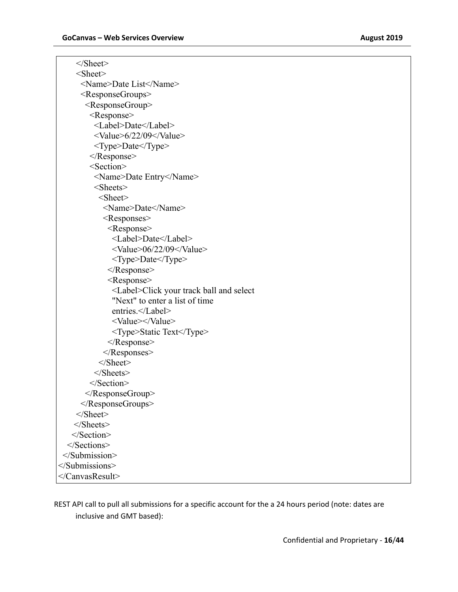| $<$ /Sheet>                                     |
|-------------------------------------------------|
| $<$ Sheet $>$                                   |
| <name>Date List</name>                          |
| <responsegroups></responsegroups>               |
| <responsegroup></responsegroup>                 |
| <response></response>                           |
| <label>Date</label>                             |
| <value>6/22/09</value>                          |
| <type>Date</type>                               |
| $\leq$ Response>                                |
| <section></section>                             |
| <name>Date Entry</name>                         |
| $<$ Sheets $>$                                  |
| $<$ Sheet $>$                                   |
| <name>Date</name>                               |
| <responses></responses>                         |
| <response></response>                           |
| <label>Date</label>                             |
| <value>06/22/09</value>                         |
| <type>Date</type>                               |
| $\langle$ Response>                             |
| <response></response>                           |
| <label>Click your track ball and select</label> |
| "Next" to enter a list of time                  |
| entries.                                        |
| <value></value>                                 |
| <type>Static Text</type>                        |
| $<$ /Response>                                  |
| $<$ /Responses>                                 |
| $<$ /Sheet>                                     |
| $<$ /Sheets>                                    |
| $<$ /Section>                                   |
|                                                 |
|                                                 |
| $<$ /Sheet>                                     |
| $<$ /Sheets>                                    |
|                                                 |
|                                                 |
|                                                 |
|                                                 |
|                                                 |

REST API call to pull all submissions for a specific account for the a 24 hours period (note: dates are inclusive and GMT based):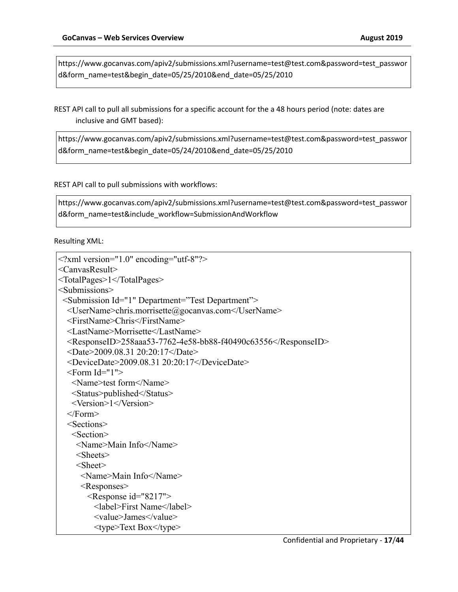https://www.gocanvas.com/apiv2/submissions.xml?username=test@test.com&password=test\_passwor d&form\_name=test&begin\_date=05/25/2010&end\_date=05/25/2010

REST API call to pull all submissions for a specific account for the a 48 hours period (note: dates are inclusive and GMT based):

https://www.gocanvas.com/apiv2/submissions.xml?username=test@test.com&password=test\_passwor d&form\_name=test&begin\_date=05/24/2010&end\_date=05/25/2010

REST API call to pull submissions with workflows:

https://www.gocanvas.com/apiv2/submissions.xml?username=test@test.com&password=test\_passwor d&form\_name=test&include\_workflow=SubmissionAndWorkflow

Resulting XML:

```
<?xml version="1.0" encoding="utf-8"?>
<CanvasResult>
<TotalPages>1</TotalPages>
<Submissions>
  <Submission Id="1" Department="Test Department">
   <UserName>chris.morrisette@gocanvas.com</UserName>
   <FirstName>Chris</FirstName>
   <LastName>Morrisette</LastName>
   <ResponseID>258aaa53-7762-4e58-bb88-f40490c63556</ResponseID>
   <Date>2009.08.31 20:20:17</Date>
   <DeviceDate>2009.08.31 20:20:17</DeviceDate>
  <Form Id="1"> <Name>test form</Name>
    <Status>published</Status>
    <Version>1</Version>
   </Form>
   <Sections>
    <Section>
     <Name>Main Info</Name>
     <Sheets>
     <Sheet>
      <Name>Main Info</Name>
      <Responses>
        <Response id="8217">
         <label>First Name</label>
         <value>James</value>
         <type>Text Box</type>
```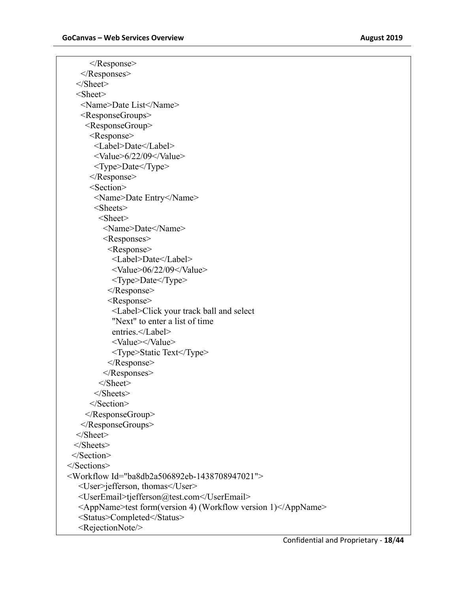</Response> </Responses> </Sheet> <Sheet> <Name>Date List</Name> <ResponseGroups> <ResponseGroup> <Response> <Label>Date</Label> <Value>6/22/09</Value> <Type>Date</Type> </Response> <Section> <Name>Date Entry</Name> <Sheets> <Sheet> <Name>Date</Name> <Responses> <Response> <Label>Date</Label>  $\langle$ Value $> 06/22/09$  $\langle$ Value $>$  <Type>Date</Type> </Response> <Response> <Label>Click your track ball and select "Next" to enter a list of time entries.</Label> <Value></Value> <Type>Static Text</Type> </Response> </Responses> </Sheet> </Sheets> </Section> </ResponseGroup> </ResponseGroups> </Sheet> </Sheets> </Section> </Sections> <Workflow Id="ba8db2a506892eb-1438708947021"> <User>jefferson, thomas</User> <UserEmail>tjefferson@test.com</UserEmail> <AppName>test form(version 4) (Workflow version 1)</AppName> <Status>Completed</Status> <RejectionNote/>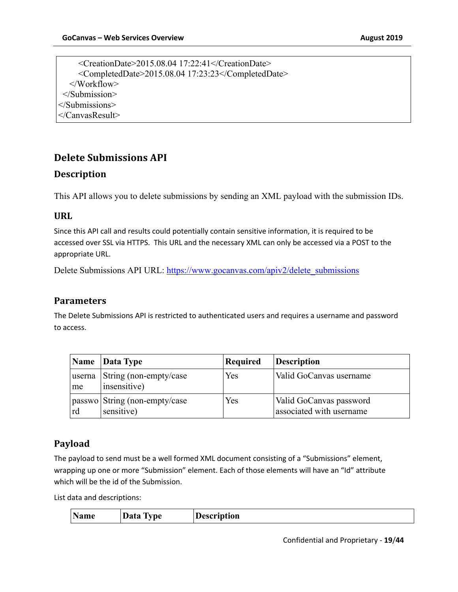<CreationDate>2015.08.04 17:22:41</CreationDate> <CompletedDate>2015.08.04 17:23:23</CompletedDate> </Workflow> </Submission> </Submissions> </CanvasResult>

### **Delete Submissions API**

#### **Description**

This API allows you to delete submissions by sending an XML payload with the submission IDs.

#### **URL**

Since this API call and results could potentially contain sensitive information, it is required to be accessed over SSL via HTTPS. This URL and the necessary XML can only be accessed via a POST to the appropriate URL.

Delete Submissions API URL: https://www.gocanvas.com/apiv2/delete\_submissions

#### **Parameters**

The Delete Submissions API is restricted to authenticated users and requires a username and password to access.

|              | $\vert$ Name $\vert$ Data Type              | Required | <b>Description</b>                                  |
|--------------|---------------------------------------------|----------|-----------------------------------------------------|
| userna<br>me | String (non-empty/case<br>insensitive)      | Yes      | Valid GoCanvas username                             |
| rd           | passwo String (non-empty/case<br>sensitive) | Yes      | Valid GoCanvas password<br>associated with username |

#### **Payload**

The payload to send must be a well formed XML document consisting of a "Submissions" element, wrapping up one or more "Submission" element. Each of those elements will have an "Id" attribute which will be the id of the Submission.

List data and descriptions:

|  | Name | Data Type | <b>Description</b> |
|--|------|-----------|--------------------|
|--|------|-----------|--------------------|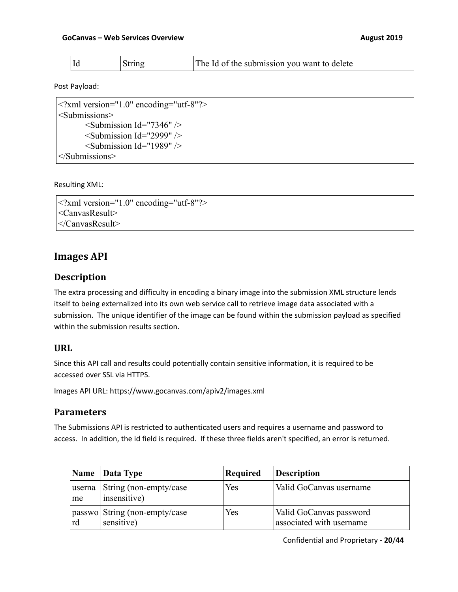|  |  | String | The Id of the submission you want to delete |
|--|--|--------|---------------------------------------------|
|--|--|--------|---------------------------------------------|

Post Payload:

| $ ml version="1.0" encoding="utf-8"?>$ |
|----------------------------------------|
| $\le$ Submissions>                     |
| $\le$ Submission Id="7346" $\ge$       |
| $\le$ Submission Id="2999" $\ge$       |
| $\le$ Submission Id="1989" $\ge$       |
| $\le$ /Submissions>                    |

Resulting XML:

<?xml version="1.0" encoding="utf-8"?> <CanvasResult> </CanvasResult>

### **Images API**

#### **Description**

The extra processing and difficulty in encoding a binary image into the submission XML structure lends itself to being externalized into its own web service call to retrieve image data associated with a submission. The unique identifier of the image can be found within the submission payload as specified within the submission results section.

#### **URL**

Since this API call and results could potentially contain sensitive information, it is required to be accessed over SSL via HTTPS.

Images API URL: https://www.gocanvas.com/apiv2/images.xml

#### **Parameters**

The Submissions API is restricted to authenticated users and requires a username and password to access. In addition, the id field is required. If these three fields aren't specified, an error is returned.

|    | Name Data Type                                | <b>Required</b> | <b>Description</b>                                  |
|----|-----------------------------------------------|-----------------|-----------------------------------------------------|
| me | userna String (non-empty/case<br>insensitive) | Yes             | Valid GoCanvas username                             |
| rd | passwo String (non-empty/case<br>sensitive)   | Yes             | Valid GoCanvas password<br>associated with username |

Confidential and Proprietary - **20**/**44**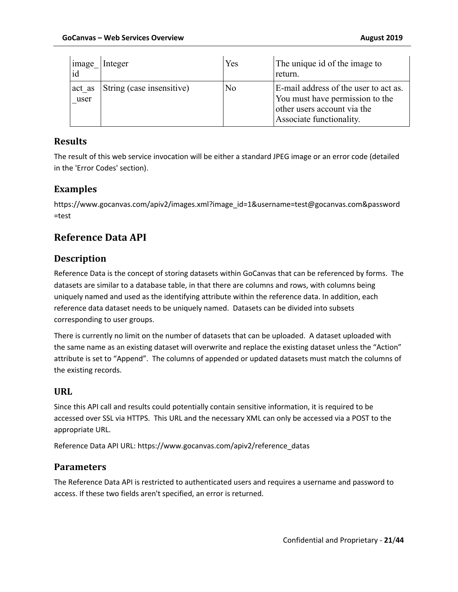| image<br>id | Integer                          | Yes | The unique id of the image to<br>return.                                                                                            |
|-------------|----------------------------------|-----|-------------------------------------------------------------------------------------------------------------------------------------|
| user        | act as String (case insensitive) | No  | E-mail address of the user to act as.<br>You must have permission to the<br>other users account via the<br>Associate functionality. |

### **Results**

The result of this web service invocation will be either a standard JPEG image or an error code (detailed in the 'Error Codes' section).

### **Examples**

https://www.gocanvas.com/apiv2/images.xml?image\_id=1&username=test@gocanvas.com&password =test

# **Reference Data API**

### **Description**

Reference Data is the concept of storing datasets within GoCanvas that can be referenced by forms. The datasets are similar to a database table, in that there are columns and rows, with columns being uniquely named and used as the identifying attribute within the reference data. In addition, each reference data dataset needs to be uniquely named. Datasets can be divided into subsets corresponding to user groups.

There is currently no limit on the number of datasets that can be uploaded. A dataset uploaded with the same name as an existing dataset will overwrite and replace the existing dataset unless the "Action" attribute is set to "Append". The columns of appended or updated datasets must match the columns of the existing records.

### **URL**

Since this API call and results could potentially contain sensitive information, it is required to be accessed over SSL via HTTPS. This URL and the necessary XML can only be accessed via a POST to the appropriate URL.

Reference Data API URL: https://www.gocanvas.com/apiv2/reference\_datas

### **Parameters**

The Reference Data API is restricted to authenticated users and requires a username and password to access. If these two fields aren't specified, an error is returned.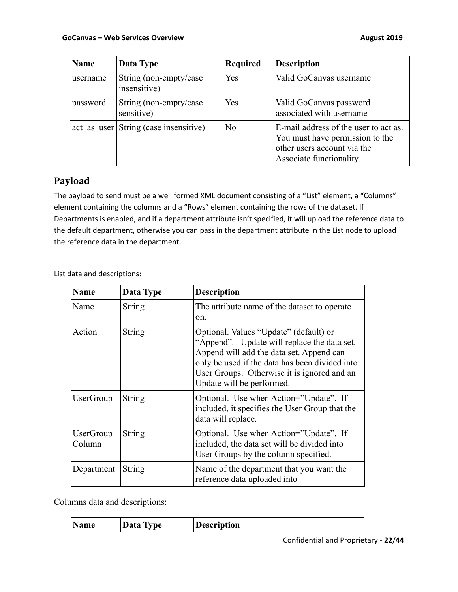| <b>Name</b>                           | Data Type                               | <b>Required</b> | <b>Description</b>                                                                                                                  |
|---------------------------------------|-----------------------------------------|-----------------|-------------------------------------------------------------------------------------------------------------------------------------|
| username                              | String (non-empty/case)<br>insensitive) | Yes             | Valid GoCanvas username                                                                                                             |
| password                              | String (non-empty/case<br>sensitive)    | Yes             | Valid GoCanvas password<br>associated with username                                                                                 |
| act as user String (case insensitive) |                                         | N <sub>o</sub>  | E-mail address of the user to act as.<br>You must have permission to the<br>other users account via the<br>Associate functionality. |

### **Payload**

The payload to send must be a well formed XML document consisting of a "List" element, a "Columns" element containing the columns and a "Rows" element containing the rows of the dataset. If Departments is enabled, and if a department attribute isn't specified, it will upload the reference data to the default department, otherwise you can pass in the department attribute in the List node to upload the reference data in the department.

List data and descriptions:

| <b>Name</b>                | Data Type     | <b>Description</b>                                                                                                                                                                                                                                              |
|----------------------------|---------------|-----------------------------------------------------------------------------------------------------------------------------------------------------------------------------------------------------------------------------------------------------------------|
| Name                       | String        | The attribute name of the dataset to operate<br>on.                                                                                                                                                                                                             |
| Action                     | String        | Optional. Values "Update" (default) or<br>"Append". Update will replace the data set.<br>Append will add the data set. Append can<br>only be used if the data has been divided into<br>User Groups. Otherwise it is ignored and an<br>Update will be performed. |
| <b>UserGroup</b>           | <b>String</b> | Optional. Use when Action="Update". If<br>included, it specifies the User Group that the<br>data will replace.                                                                                                                                                  |
| <b>UserGroup</b><br>Column | <b>String</b> | Optional. Use when Action="Update". If<br>included, the data set will be divided into<br>User Groups by the column specified.                                                                                                                                   |
| Department                 | String        | Name of the department that you want the<br>reference data uploaded into                                                                                                                                                                                        |

Columns data and descriptions:

|--|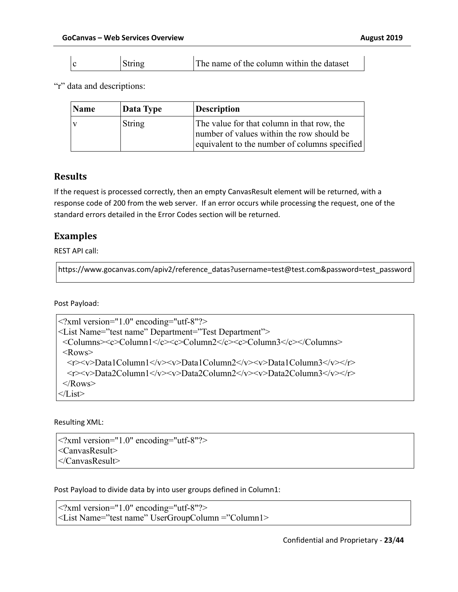|  |  | String | The name of the column within the dataset |
|--|--|--------|-------------------------------------------|
|--|--|--------|-------------------------------------------|

"r" data and descriptions:

| Name | Data Type | <b>Description</b>                                                                                                                       |
|------|-----------|------------------------------------------------------------------------------------------------------------------------------------------|
|      | String    | The value for that column in that row, the<br>number of values within the row should be<br>equivalent to the number of columns specified |

#### **Results**

If the request is processed correctly, then an empty CanvasResult element will be returned, with a response code of 200 from the web server. If an error occurs while processing the request, one of the standard errors detailed in the Error Codes section will be returned.

#### **Examples**

REST API call:

https://www.gocanvas.com/apiv2/reference\_datas?username=test@test.com&password=test\_password

Post Payload:

```
<?xml version="1.0" encoding="utf-8"?>
<List Name="test name" Department="Test Department">
  <Columns><c>Column1</c><c>Column2</c><c>Column3</c></Columns>
 <Rows>\langle x \rangle \langle y \rangle Data1Column1</v>\langle y \rangle \langle y \rangleData1Column2</v>\langle y \rangle \langle y \rangleData1Column3</v>
   <r><v>Data2Column1</v><v>Data2Column2</v><v>Data2Column3</v></r>
 </Rows>
\langleList\rangle
```
#### Resulting XML:

```
<?xml version="1.0" encoding="utf-8"?>
<CanvasResult>
</CanvasResult>
```
Post Payload to divide data by into user groups defined in Column1:

```
<?xml version="1.0" encoding="utf-8"?>
<List Name="test name" UserGroupColumn ="Column1>
```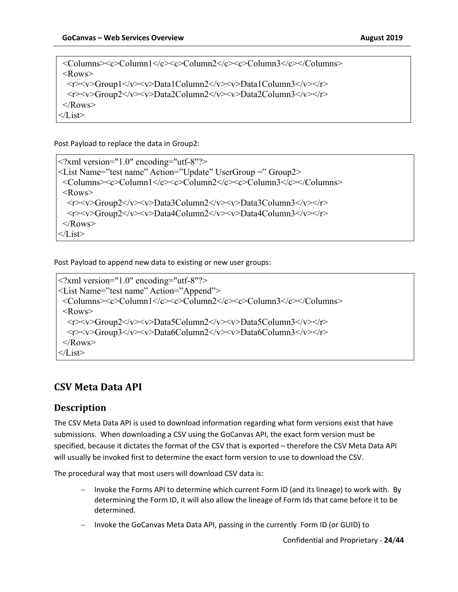<Columns><c>Column1</c><c>Column2</c><c>Column3</c></Columns> <Rows> <r><v>Group1</v><v>Data1Column2</v><v>Data1Column3</v></r> <r><v>Group2</v><v>Data2Column2</v><v>Data2Column3</v></r>  $\langle$ Rows>  $\langle$ List $\rangle$ 

Post Payload to replace the data in Group2:

<?xml version="1.0" encoding="utf-8"?> <List Name="test name" Action="Update" UserGroup =" Group2> <Columns><c>Column1</c><c>Column2</c><c>Column3</c></Columns> <Rows>  $\langle v \rangle \langle v \rangle$ Group2 $\langle v \rangle \langle v \rangle$ Data3Column2 $\langle v \rangle \langle v \rangle$ Data3Column3 $\langle v \rangle \langle v \rangle$  <r><v>Group2</v><v>Data4Column2</v><v>Data4Column3</v></r>  $<$ /Rows>  $\langle$ List $\rangle$ 

Post Payload to append new data to existing or new user groups:

```
<?xml version="1.0" encoding="utf-8"?>
<List Name="test name" Action="Append">
  <Columns><c>Column1</c><c>Column2</c><c>Column3</c></Columns>
  <Rows>
  \langle v \rangle \langle v \rangle \langle Group2 \langle v \rangle \langle v \rangleData5Column2\langle v \rangle \langle v \rangleData5Column3\langle v \rangle \langle v \rangle <r><v>Group3</v><v>Data6Column2</v><v>Data6Column3</v></r>
 </Rows>
\langleList\rangle
```
## **CSV Meta Data API**

### **Description**

The CSV Meta Data API is used to download information regarding what form versions exist that have submissions. When downloading a CSV using the GoCanvas API, the exact form version must be specified, because it dictates the format of the CSV that is exported – therefore the CSV Meta Data API will usually be invoked first to determine the exact form version to use to download the CSV.

The procedural way that most users will download CSV data is:

- Invoke the Forms API to determine which current Form ID (and its lineage) to work with. By determining the Form ID, it will also allow the lineage of Form Ids that came before it to be determined.
- Invoke the GoCanvas Meta Data API, passing in the currently Form ID (or GUID) to

Confidential and Proprietary - **24**/**44**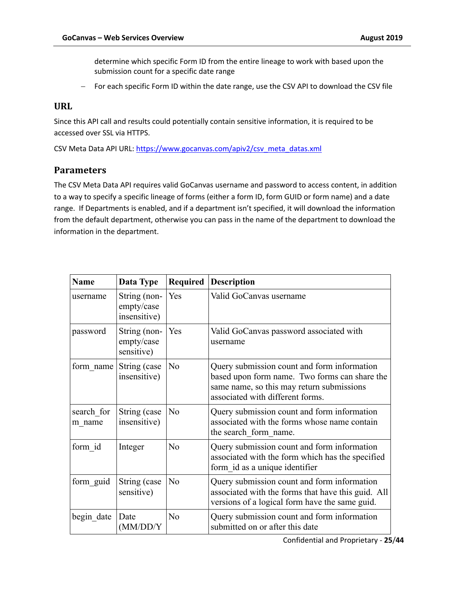determine which specific Form ID from the entire lineage to work with based upon the submission count for a specific date range

- For each specific Form ID within the date range, use the CSV API to download the CSV file

#### **URL**

Since this API call and results could potentially contain sensitive information, it is required to be accessed over SSL via HTTPS.

CSV Meta Data API URL: https://www.gocanvas.com/apiv2/csv\_meta\_datas.xml

#### **Parameters**

The CSV Meta Data API requires valid GoCanvas username and password to access content, in addition to a way to specify a specific lineage of forms (either a form ID, form GUID or form name) and a date range. If Departments is enabled, and if a department isn't specified, it will download the information from the default department, otherwise you can pass in the name of the department to download the information in the department.

| <b>Name</b>          | Data Type                                  | Required       | <b>Description</b>                                                                                                                                                            |
|----------------------|--------------------------------------------|----------------|-------------------------------------------------------------------------------------------------------------------------------------------------------------------------------|
| username             | String (non-<br>empty/case<br>insensitive) | Yes            | Valid GoCanvas username                                                                                                                                                       |
| password             | String (non-<br>empty/case<br>sensitive)   | Yes            | Valid GoCanvas password associated with<br>username                                                                                                                           |
| form name            | String (case<br>insensitive)               | N <sub>o</sub> | Query submission count and form information<br>based upon form name. Two forms can share the<br>same name, so this may return submissions<br>associated with different forms. |
| search for<br>m name | String (case<br>insensitive)               | No             | Query submission count and form information<br>associated with the forms whose name contain<br>the search form name.                                                          |
| form id              | Integer                                    | N <sub>o</sub> | Query submission count and form information<br>associated with the form which has the specified<br>form id as a unique identifier                                             |
| form_guid            | String (case<br>sensitive)                 | No             | Query submission count and form information<br>associated with the forms that have this guid. All<br>versions of a logical form have the same guid.                           |
| begin date           | Date<br>(MM/DD/Y)                          | No             | Query submission count and form information<br>submitted on or after this date                                                                                                |

Confidential and Proprietary - **25**/**44**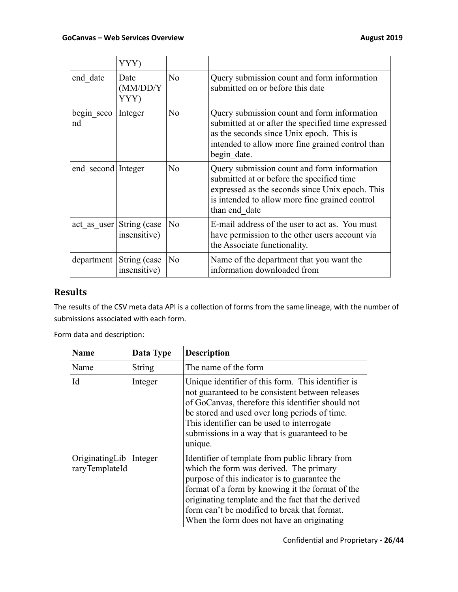|                    | YYY)                         |                |                                                                                                                                                                                                                  |
|--------------------|------------------------------|----------------|------------------------------------------------------------------------------------------------------------------------------------------------------------------------------------------------------------------|
| end date           | Date<br>(MM/DD/Y)<br>YYY)    | N <sub>o</sub> | Query submission count and form information<br>submitted on or before this date                                                                                                                                  |
| begin seco<br>nd   | Integer                      | N <sub>o</sub> | Query submission count and form information<br>submitted at or after the specified time expressed<br>as the seconds since Unix epoch. This is<br>intended to allow more fine grained control than<br>begin date. |
| end second Integer |                              | N <sub>0</sub> | Query submission count and form information<br>submitted at or before the specified time<br>expressed as the seconds since Unix epoch. This<br>is intended to allow more fine grained control<br>than end date   |
| act as user        | String (case<br>insensitive) | No             | E-mail address of the user to act as. You must<br>have permission to the other users account via<br>the Associate functionality.                                                                                 |
| department         | String (case<br>insensitive) | No             | Name of the department that you want the<br>information downloaded from                                                                                                                                          |

## **Results**

The results of the CSV meta data API is a collection of forms from the same lineage, with the number of submissions associated with each form.

Form data and description:

| Name                             | Data Type     | <b>Description</b>                                                                                                                                                                                                                                                                                                                                  |
|----------------------------------|---------------|-----------------------------------------------------------------------------------------------------------------------------------------------------------------------------------------------------------------------------------------------------------------------------------------------------------------------------------------------------|
| Name                             | <b>String</b> | The name of the form                                                                                                                                                                                                                                                                                                                                |
| Id                               | Integer       | Unique identifier of this form. This identifier is<br>not guaranteed to be consistent between releases<br>of GoCanvas, therefore this identifier should not<br>be stored and used over long periods of time.<br>This identifier can be used to interrogate<br>submissions in a way that is guaranteed to be<br>unique.                              |
| OriginatingLib<br>raryTemplateId | Integer       | Identifier of template from public library from<br>which the form was derived. The primary<br>purpose of this indicator is to guarantee the<br>format of a form by knowing it the format of the<br>originating template and the fact that the derived<br>form can't be modified to break that format.<br>When the form does not have an originating |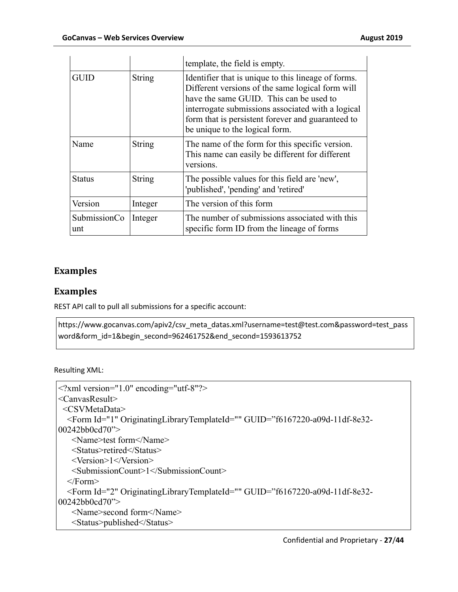|                     |               | template, the field is empty.                                                                                                                                                                                                                                                                  |
|---------------------|---------------|------------------------------------------------------------------------------------------------------------------------------------------------------------------------------------------------------------------------------------------------------------------------------------------------|
| <b>GUID</b>         | <b>String</b> | Identifier that is unique to this lineage of forms.<br>Different versions of the same logical form will<br>have the same GUID. This can be used to<br>interrogate submissions associated with a logical<br>form that is persistent forever and guaranteed to<br>be unique to the logical form. |
| Name                | String        | The name of the form for this specific version.<br>This name can easily be different for different<br>versions.                                                                                                                                                                                |
| <b>Status</b>       | String        | The possible values for this field are 'new',<br>'published', 'pending' and 'retired'                                                                                                                                                                                                          |
| Version             | Integer       | The version of this form                                                                                                                                                                                                                                                                       |
| SubmissionCo<br>unt | Integer       | The number of submissions associated with this<br>specific form ID from the lineage of forms                                                                                                                                                                                                   |

### **Examples**

### **Examples**

REST API call to pull all submissions for a specific account:

https://www.gocanvas.com/apiv2/csv\_meta\_datas.xml?username=test@test.com&password=test\_pass word&form\_id=1&begin\_second=962461752&end\_second=1593613752

Resulting XML:

```
<?xml version="1.0" encoding="utf-8"?>
<CanvasResult>
  <CSVMetaData>
   <Form Id="1" OriginatingLibraryTemplateId="" GUID="f6167220-a09d-11df-8e32-
00242bb0cd70">
    <Name>test form</Name>
    <Status>retired</Status>
    <Version>1</Version>
    <SubmissionCount>1</SubmissionCount>
   </Form>
   <Form Id="2" OriginatingLibraryTemplateId="" GUID="f6167220-a09d-11df-8e32-
00242bb0cd70">
    <Name>second form</Name>
    <Status>published</Status>
```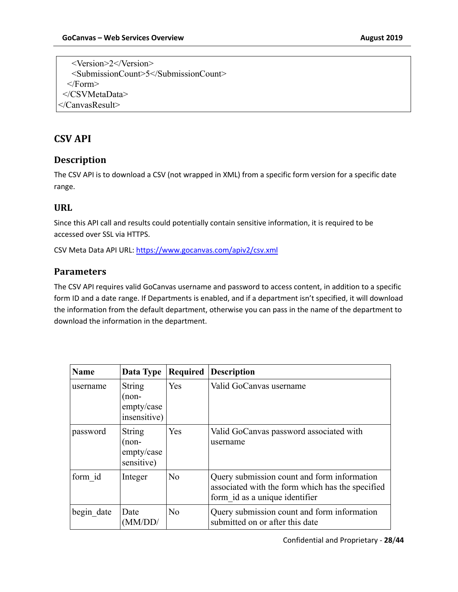<Version>2</Version> <SubmissionCount>5</SubmissionCount> </Form> </CSVMetaData> </CanvasResult>

### **CSV API**

#### **Description**

The CSV API is to download a CSV (not wrapped in XML) from a specific form version for a specific date range.

#### **URL**

Since this API call and results could potentially contain sensitive information, it is required to be accessed over SSL via HTTPS.

CSV Meta Data API URL: https://www.gocanvas.com/apiv2/csv.xml

#### **Parameters**

The CSV API requires valid GoCanvas username and password to access content, in addition to a specific form ID and a date range. If Departments is enabled, and if a department isn't specified, it will download the information from the default department, otherwise you can pass in the name of the department to download the information in the department.

| <b>Name</b> | Data Type                                          | Required       | <b>Description</b>                                                                                                                |
|-------------|----------------------------------------------------|----------------|-----------------------------------------------------------------------------------------------------------------------------------|
| username    | String<br>$($ non-<br>empty/case<br>insensitive)   | Yes            | Valid GoCanvas username                                                                                                           |
| password    | <b>String</b><br>(non-<br>empty/case<br>sensitive) | Yes            | Valid GoCanvas password associated with<br>username                                                                               |
| form id     | Integer                                            | No             | Query submission count and form information<br>associated with the form which has the specified<br>form id as a unique identifier |
| begin date  | Date<br>'MM/DD/                                    | N <sub>o</sub> | Query submission count and form information<br>submitted on or after this date                                                    |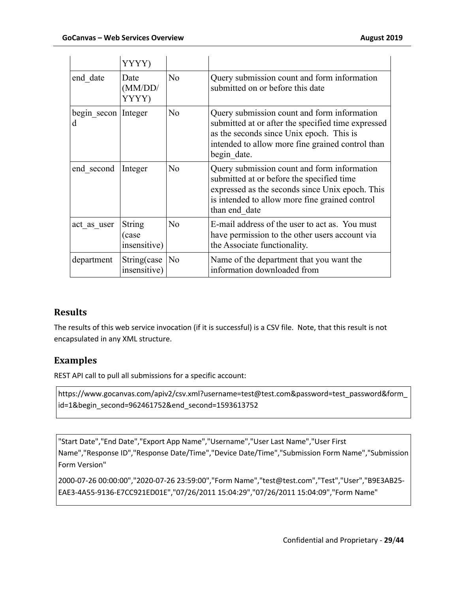|                          | YYYY)                                  |                |                                                                                                                                                                                                                  |
|--------------------------|----------------------------------------|----------------|------------------------------------------------------------------------------------------------------------------------------------------------------------------------------------------------------------------|
| end date                 | Date<br>(MM/DD)<br>YYYY)               | N <sub>o</sub> | Query submission count and form information<br>submitted on or before this date                                                                                                                                  |
| begin secon Integer<br>d |                                        | N <sub>o</sub> | Query submission count and form information<br>submitted at or after the specified time expressed<br>as the seconds since Unix epoch. This is<br>intended to allow more fine grained control than<br>begin date. |
| end second               | Integer                                | N <sub>o</sub> | Query submission count and form information<br>submitted at or before the specified time<br>expressed as the seconds since Unix epoch. This<br>is intended to allow more fine grained control<br>than end date   |
| act as user              | <b>String</b><br>(case<br>insensitive) | N <sub>o</sub> | E-mail address of the user to act as. You must<br>have permission to the other users account via<br>the Associate functionality.                                                                                 |
| department               | String(case<br>insensitive)            | No             | Name of the department that you want the<br>information downloaded from                                                                                                                                          |

### **Results**

The results of this web service invocation (if it is successful) is a CSV file. Note, that this result is not encapsulated in any XML structure.

### **Examples**

REST API call to pull all submissions for a specific account:

https://www.gocanvas.com/apiv2/csv.xml?username=test@test.com&password=test\_password&form\_ id=1&begin\_second=962461752&end\_second=1593613752

"Start Date","End Date","Export App Name","Username","User Last Name","User First Name","Response ID","Response Date/Time","Device Date/Time","Submission Form Name","Submission Form Version"

2000-07-26 00:00:00","2020-07-26 23:59:00","Form Name","test@test.com","Test","User","B9E3AB25- EAE3-4A55-9136-E7CC921ED01E","07/26/2011 15:04:29","07/26/2011 15:04:09","Form Name"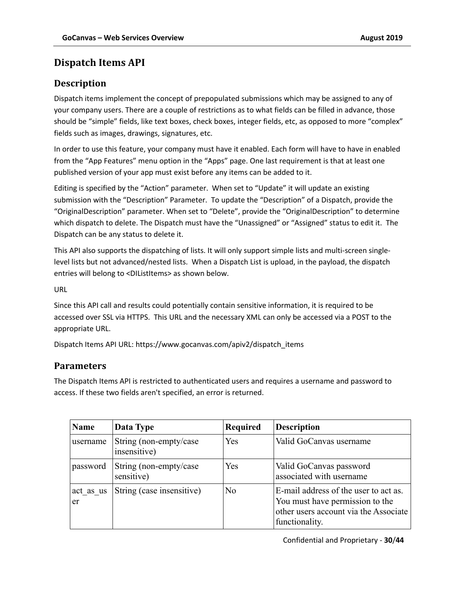### **Dispatch Items API**

### **Description**

Dispatch items implement the concept of prepopulated submissions which may be assigned to any of your company users. There are a couple of restrictions as to what fields can be filled in advance, those should be "simple" fields, like text boxes, check boxes, integer fields, etc, as opposed to more "complex" fields such as images, drawings, signatures, etc.

In order to use this feature, your company must have it enabled. Each form will have to have in enabled from the "App Features" menu option in the "Apps" page. One last requirement is that at least one published version of your app must exist before any items can be added to it.

Editing is specified by the "Action" parameter. When set to "Update" it will update an existing submission with the "Description" Parameter. To update the "Description" of a Dispatch, provide the "OriginalDescription" parameter. When set to "Delete", provide the "OriginalDescription" to determine which dispatch to delete. The Dispatch must have the "Unassigned" or "Assigned" status to edit it. The Dispatch can be any status to delete it.

This API also supports the dispatching of lists. It will only support simple lists and multi-screen singlelevel lists but not advanced/nested lists. When a Dispatch List is upload, in the payload, the dispatch entries will belong to <DIListItems> as shown below.

URL

Since this API call and results could potentially contain sensitive information, it is required to be accessed over SSL via HTTPS. This URL and the necessary XML can only be accessed via a POST to the appropriate URL.

Dispatch Items API URL: https://www.gocanvas.com/apiv2/dispatch\_items

#### **Parameters**

The Dispatch Items API is restricted to authenticated users and requires a username and password to access. If these two fields aren't specified, an error is returned.

| <b>Name</b>     | Data Type                               | Required | <b>Description</b>                                                                                                                  |
|-----------------|-----------------------------------------|----------|-------------------------------------------------------------------------------------------------------------------------------------|
| username        | String (non-empty/case)<br>insensitive) | Yes      | Valid GoCanvas username                                                                                                             |
| password        | String (non-empty/case)<br>sensitive)   | Yes      | Valid GoCanvas password<br>associated with username                                                                                 |
| act as us<br>er | String (case insensitive)               | No       | E-mail address of the user to act as.<br>You must have permission to the<br>other users account via the Associate<br>functionality. |

Confidential and Proprietary - **30**/**44**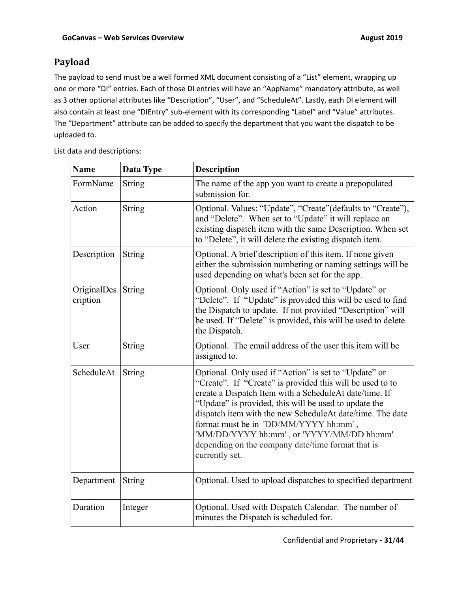### **Payload**

The payload to send must be a well formed XML document consisting of a "List" element, wrapping up one or more "DI" entries. Each of those DI entries will have an "AppName" mandatory attribute, as well as 3 other optional attributes like "Description", "User", and "ScheduleAt". Lastly, each DI element will also contain at least one "DIEntry" sub-element with its corresponding "Label" and "Value" attributes. The "Department" attribute can be added to specify the department that you want the dispatch to be uploaded to.

List data and descriptions:

| <b>Name</b>             | Data Type     | <b>Description</b>                                                                                                                                                                                                                                                                                                                                                                                                                                              |
|-------------------------|---------------|-----------------------------------------------------------------------------------------------------------------------------------------------------------------------------------------------------------------------------------------------------------------------------------------------------------------------------------------------------------------------------------------------------------------------------------------------------------------|
| FormName                | String        | The name of the app you want to create a prepopulated<br>submission for.                                                                                                                                                                                                                                                                                                                                                                                        |
| Action                  | <b>String</b> | Optional. Values: "Update", "Create"(defaults to "Create"),<br>and "Delete". When set to "Update" it will replace an<br>existing dispatch item with the same Description. When set<br>to "Delete", it will delete the existing dispatch item.                                                                                                                                                                                                                   |
| Description             | String        | Optional. A brief description of this item. If none given<br>either the submission numbering or naming settings will be<br>used depending on what's been set for the app.                                                                                                                                                                                                                                                                                       |
| OriginalDes<br>cription | <b>String</b> | Optional. Only used if "Action" is set to "Update" or<br>"Delete". If "Update" is provided this will be used to find<br>the Dispatch to update. If not provided "Description" will<br>be used. If "Delete" is provided, this will be used to delete<br>the Dispatch.                                                                                                                                                                                            |
| User                    | String        | Optional. The email address of the user this item will be<br>assigned to.                                                                                                                                                                                                                                                                                                                                                                                       |
| ScheduleAt              | <b>String</b> | Optional. Only used if "Action" is set to "Update" or<br>"Create". If "Create" is provided this will be used to to<br>create a Dispatch Item with a ScheduleAt date/time. If<br>"Update" is provided, this will be used to update the<br>dispatch item with the new ScheduleAt date/time. The date<br>format must be in 'DD/MM/YYYY hh:mm',<br>'MM/DD/YYYY hh:mm', or 'YYYY/MM/DD hh:mm'<br>depending on the company date/time format that is<br>currently set. |
| Department              | <b>String</b> | Optional. Used to upload dispatches to specified department                                                                                                                                                                                                                                                                                                                                                                                                     |
| Duration                | Integer       | Optional. Used with Dispatch Calendar. The number of<br>minutes the Dispatch is scheduled for.                                                                                                                                                                                                                                                                                                                                                                  |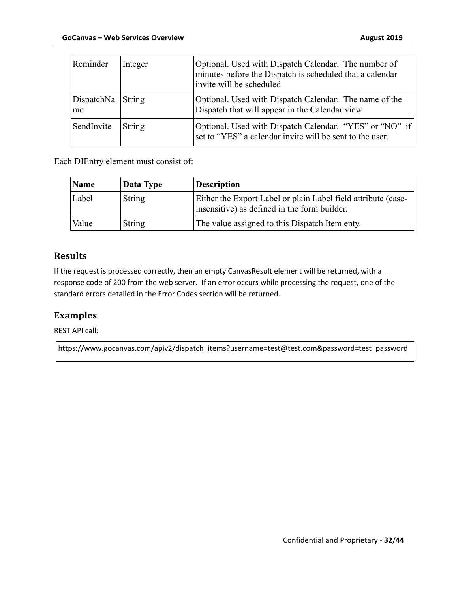| Reminder                | Integer | Optional. Used with Dispatch Calendar. The number of<br>minutes before the Dispatch is scheduled that a calendar<br>invite will be scheduled |
|-------------------------|---------|----------------------------------------------------------------------------------------------------------------------------------------------|
| DispatchNa String<br>me |         | Optional. Used with Dispatch Calendar. The name of the<br>Dispatch that will appear in the Calendar view                                     |
| SendInvite              | String  | Optional. Used with Dispatch Calendar. "YES" or "NO" if<br>set to "YES" a calendar invite will be sent to the user.                          |

Each DIEntry element must consist of:

| Name  | Data Type     | <b>Description</b>                                                                                            |
|-------|---------------|---------------------------------------------------------------------------------------------------------------|
| Label | <b>String</b> | Either the Export Label or plain Label field attribute (case-<br>insensitive) as defined in the form builder. |
| Value | String        | The value assigned to this Dispatch Item enty.                                                                |

### **Results**

If the request is processed correctly, then an empty CanvasResult element will be returned, with a response code of 200 from the web server. If an error occurs while processing the request, one of the standard errors detailed in the Error Codes section will be returned.

### **Examples**

REST API call:

https://www.gocanvas.com/apiv2/dispatch\_items?username=test@test.com&password=test\_password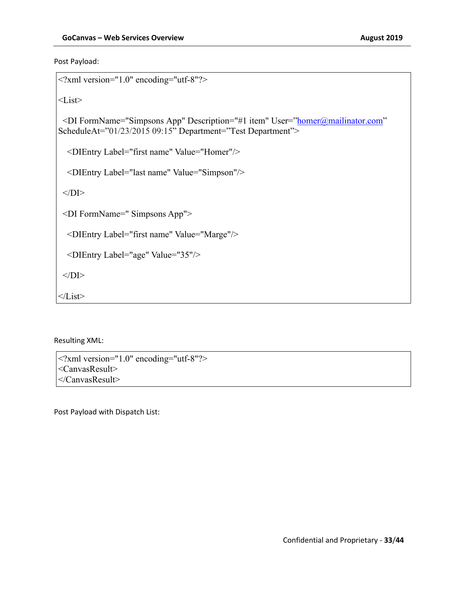Post Payload:

```
<?xml version="1.0" encoding="utf-8"?>
<List><DI FormName="Simpsons App" Description="#1 item" User="homer@mailinator.com"
ScheduleAt="01/23/2015 09:15" Department="Test Department">
   <DIEntry Label="first name" Value="Homer"/>
   <DIEntry Label="last name" Value="Simpson"/>
 </DI> <DI FormName=" Simpsons App">
   <DIEntry Label="first name" Value="Marge"/>
   <DIEntry Label="age" Value="35"/>
 </DI>\langleList\rangle
```
Resulting XML:

<?xml version="1.0" encoding="utf-8"?> <CanvasResult> </CanvasResult>

Post Payload with Dispatch List: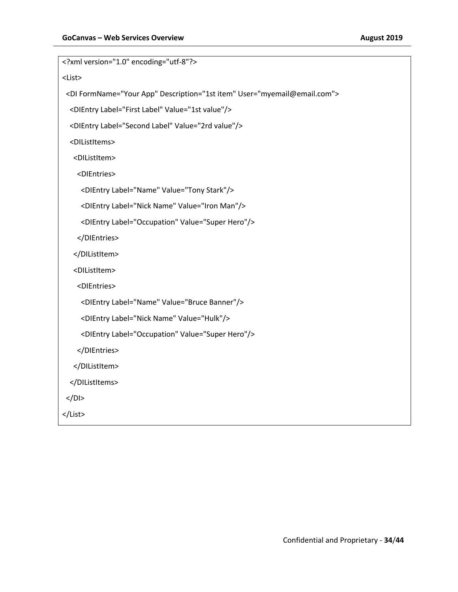| xml version="1.0" encoding="utf-8"?                                           |
|-------------------------------------------------------------------------------|
| <list></list>                                                                 |
| <di description="1st item" formname="Your App" user="myemail@email.com"></di> |
| <dientry label="First Label" value="1st value"></dientry>                     |
| <dientry label="Second Label" value="2rd value"></dientry>                    |
| <dilistitems></dilistitems>                                                   |
| <dilistitem></dilistitem>                                                     |
| <dientries></dientries>                                                       |
| <dientry label="Name" value="Tony Stark"></dientry>                           |
| <dientry label="Nick Name" value="Iron Man"></dientry>                        |
| <dientry label="Occupation" value="Super Hero"></dientry>                     |
|                                                                               |
|                                                                               |
| <dilistitem></dilistitem>                                                     |
| <dientries></dientries>                                                       |
| <dientry label="Name" value="Bruce Banner"></dientry>                         |
| <dientry label="Nick Name" value="Hulk"></dientry>                            |
| <dientry label="Occupation" value="Super Hero"></dientry>                     |
|                                                                               |
|                                                                               |
|                                                                               |
| $DI>$                                                                         |
|                                                                               |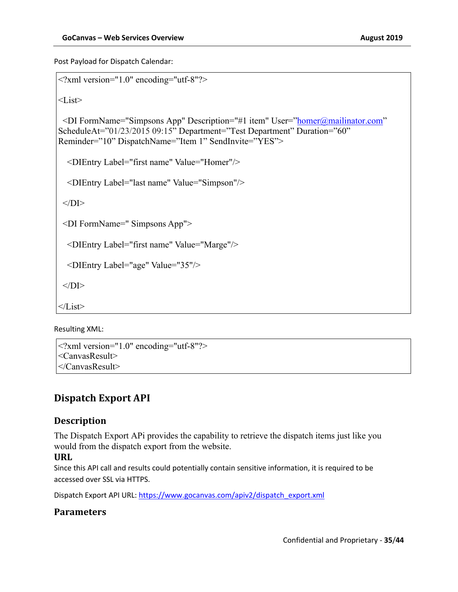Post Payload for Dispatch Calendar:

```
<?xml version="1.0" encoding="utf-8"?>
<List><DI FormName="Simpsons App" Description="#1 item" User="homer@mailinator.com"
ScheduleAt="01/23/2015 09:15" Department="Test Department" Duration="60" 
Reminder="10" DispatchName="Item 1" SendInvite="YES">
   <DIEntry Label="first name" Value="Homer"/>
   <DIEntry Label="last name" Value="Simpson"/>
 </DI> <DI FormName=" Simpsons App">
   <DIEntry Label="first name" Value="Marge"/>
   <DIEntry Label="age" Value="35"/>
 </DI>\langleList\rangle
```
Resulting XML:

```
<?xml version="1.0" encoding="utf-8"?>
<CanvasResult>
</CanvasResult>
```
## **Dispatch Export API**

### **Description**

The Dispatch Export APi provides the capability to retrieve the dispatch items just like you would from the dispatch export from the website.

#### **URL**

Since this API call and results could potentially contain sensitive information, it is required to be accessed over SSL via HTTPS.

Dispatch Export API URL: https://www.gocanvas.com/apiv2/dispatch\_export.xml

### **Parameters**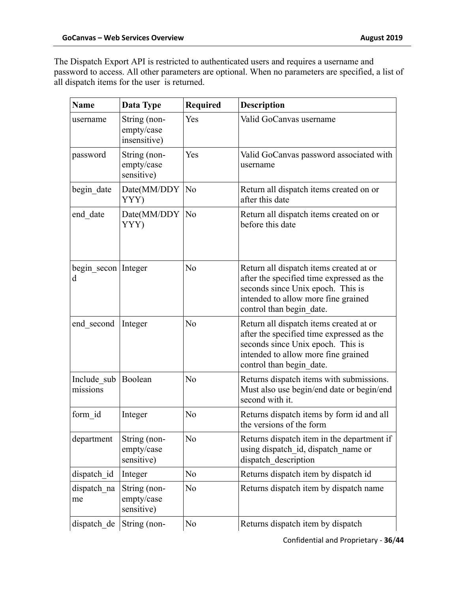The Dispatch Export API is restricted to authenticated users and requires a username and password to access. All other parameters are optional. When no parameters are specified, a list of all dispatch items for the user is returned.

| <b>Name</b>                     | Data Type                                  | Required       | <b>Description</b>                                                                                                                                                                           |
|---------------------------------|--------------------------------------------|----------------|----------------------------------------------------------------------------------------------------------------------------------------------------------------------------------------------|
| username                        | String (non-<br>empty/case<br>insensitive) | Yes            | Valid GoCanvas username                                                                                                                                                                      |
| password                        | String (non-<br>empty/case<br>sensitive)   | Yes            | Valid GoCanvas password associated with<br>username                                                                                                                                          |
| begin_date                      | Date(MM/DDY<br>YYY)                        | N <sub>o</sub> | Return all dispatch items created on or<br>after this date                                                                                                                                   |
| end date                        | Date(MM/DDY<br>YYY)                        | No             | Return all dispatch items created on or<br>before this date                                                                                                                                  |
| begin_secon   Integer<br>d      |                                            | No             | Return all dispatch items created at or<br>after the specified time expressed as the<br>seconds since Unix epoch. This is<br>intended to allow more fine grained<br>control than begin date. |
| end second                      | Integer                                    | No             | Return all dispatch items created at or<br>after the specified time expressed as the<br>seconds since Unix epoch. This is<br>intended to allow more fine grained<br>control than begin date. |
| Include sub Boolean<br>missions |                                            | No             | Returns dispatch items with submissions.<br>Must also use begin/end date or begin/end<br>second with it.                                                                                     |
| form id                         | Integer                                    | No             | Returns dispatch items by form id and all<br>the versions of the form                                                                                                                        |
| department                      | String (non-<br>empty/case<br>sensitive)   | No             | Returns dispatch item in the department if<br>using dispatch_id, dispatch_name or<br>dispatch_description                                                                                    |
| dispatch id                     | Integer                                    | No             | Returns dispatch item by dispatch id                                                                                                                                                         |
| dispatch na<br>me               | String (non-<br>empty/case<br>sensitive)   | No             | Returns dispatch item by dispatch name                                                                                                                                                       |
| dispatch de                     | String (non-                               | No             | Returns dispatch item by dispatch                                                                                                                                                            |

Confidential and Proprietary - **36**/**44**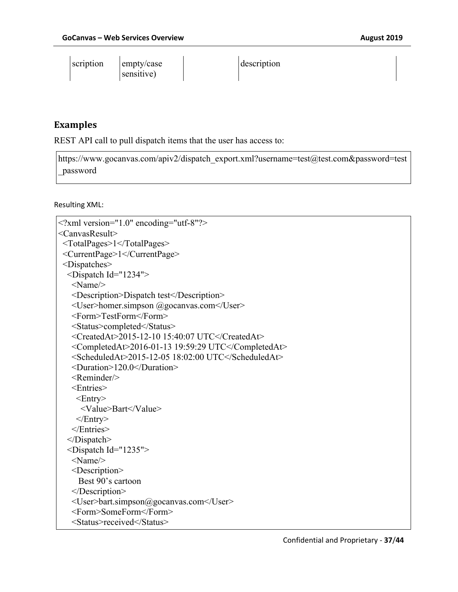$\overline{1}$ 

| scription | empty/case | description |
|-----------|------------|-------------|
|           | sensitive) |             |

### **Examples**

 $\mathbf{r}$ 

REST API call to pull dispatch items that the user has access to:

https://www.gocanvas.com/apiv2/dispatch\_export.xml?username=test@test.com&password=test \_password

Resulting XML:

```
<?xml version="1.0" encoding="utf-8"?>
<CanvasResult>
  <TotalPages>1</TotalPages>
  <CurrentPage>1</CurrentPage>
  <Dispatches>
   <Dispatch Id="1234">
    <Name/>
    <Description>Dispatch test</Description>
    <User>homer.simpson @gocanvas.com</User>
    <Form>TestForm</Form>
    <Status>completed</Status>
    <CreatedAt>2015-12-10 15:40:07 UTC</CreatedAt>
    <CompletedAt>2016-01-13 19:59:29 UTC</CompletedAt>
    <ScheduledAt>2015-12-05 18:02:00 UTC</ScheduledAt>
    <Duration>120.0</Duration>
    <Reminder/>
    <Entries>
     <Entry>
      <Value>Bart</Value>
     </Entry>
    </Entries>
   </Dispatch>
   <Dispatch Id="1235">
    <Name/>
    <Description>
      Best 90's cartoon
    </Description>
    <User>bart.simpson@gocanvas.com</User>
    <Form>SomeForm</Form>
    <Status>received</Status>
```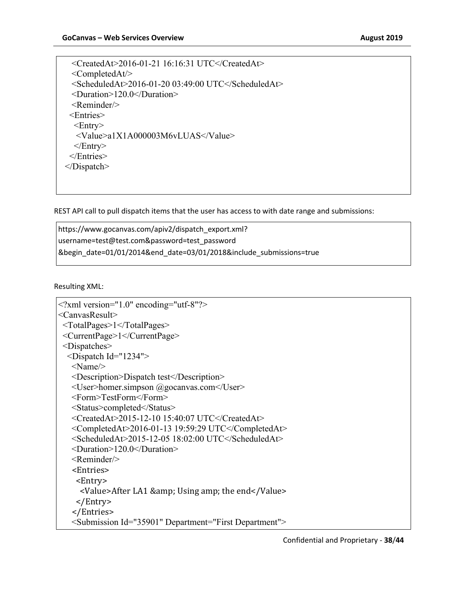<CreatedAt>2016-01-21 16:16:31 UTC</CreatedAt> <CompletedAt/> <ScheduledAt>2016-01-20 03:49:00 UTC</ScheduledAt> <Duration>120.0</Duration>  $<$ Reminder $\ge$  <Entries>  $\leq$ Entry $>$  <Value>a1X1A000003M6vLUAS</Value>  $<$ Entry> </Entries> </Dispatch>

REST API call to pull dispatch items that the user has access to with date range and submissions:

https://www.gocanvas.com/apiv2/dispatch\_export.xml? username=test@test.com&password=test\_password &begin\_date=01/01/2014&end\_date=03/01/2018&include\_submissions=true

Resulting XML:

```
<?xml version="1.0" encoding="utf-8"?>
<CanvasResult>
  <TotalPages>1</TotalPages>
  <CurrentPage>1</CurrentPage>
  <Dispatches>
   <Dispatch Id="1234">
    <Name/>
    <Description>Dispatch test</Description>
    <User>homer.simpson @gocanvas.com</User>
    <Form>TestForm</Form>
    <Status>completed</Status>
    <CreatedAt>2015-12-10 15:40:07 UTC</CreatedAt>
    <CompletedAt>2016-01-13 19:59:29 UTC</CompletedAt>
   \leqScheduledAt>2015-12-05 18:02:00 UTC\leq/ScheduledAt> <Duration>120.0</Duration>
    <Reminder/>
   							<Entries>
    									<Entry>
     <Value>After LA1 & amp; Using amp; the end</Value>
    									</Entry>
   							</Entries>
    <Submission Id="35901" Department="First Department">
```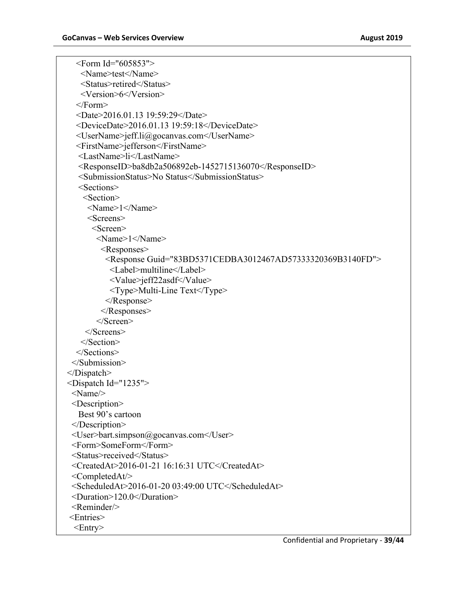<Form Id="605853"> <Name>test</Name> <Status>retired</Status> <Version>6</Version> </Form> <Date>2016.01.13 19:59:29</Date> <DeviceDate>2016.01.13 19:59:18</DeviceDate> <UserName>jeff.li@gocanvas.com</UserName> <FirstName>jefferson</FirstName> <LastName>li</LastName> <ResponseID>ba8db2a506892eb-1452715136070</ResponseID> <SubmissionStatus>No Status</SubmissionStatus> <Sections> <Section> <Name>1</Name> <Screens> <Screen> <Name>1</Name> <Responses> <Response Guid="83BD5371CEDBA3012467AD57333320369B3140FD"> <Label>multiline</Label> <Value>jeff22asdf</Value> <Type>Multi-Line Text</Type> </Response> </Responses> </Screen> </Screens> </Section> </Sections> </Submission> </Dispatch> <Dispatch Id="1235"> <Name/> <Description> Best 90's cartoon </Description> <User>bart.simpson@gocanvas.com</User> <Form>SomeForm</Form> <Status>received</Status> <CreatedAt>2016-01-21 16:16:31 UTC</CreatedAt> <CompletedAt/>  $\leq$ ScheduledAt>2016-01-20 03:49:00 UTC $\leq$ /ScheduledAt> <Duration>120.0</Duration> <Reminder/> <Entries>  $\leq$ Entry $>$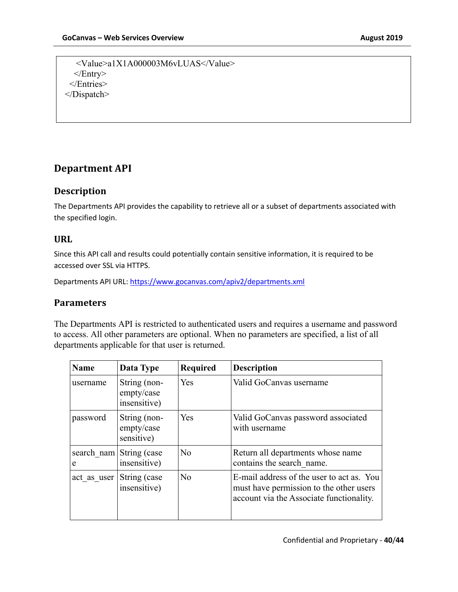<Value>a1X1A000003M6vLUAS</Value> </Entry> </Entries> </Dispatch>

### **Department API**

### **Description**

The Departments API provides the capability to retrieve all or a subset of departments associated with the specified login.

### **URL**

Since this API call and results could potentially contain sensitive information, it is required to be accessed over SSL via HTTPS.

Departments API URL: https://www.gocanvas.com/apiv2/departments.xml

#### **Parameters**

The Departments API is restricted to authenticated users and requires a username and password to access. All other parameters are optional. When no parameters are specified, a list of all departments applicable for that user is returned.

| <b>Name</b>     | Data Type                                  | <b>Required</b> | <b>Description</b>                                                                                                               |
|-----------------|--------------------------------------------|-----------------|----------------------------------------------------------------------------------------------------------------------------------|
| username        | String (non-<br>empty/case<br>insensitive) | <b>Yes</b>      | Valid GoCanvas username                                                                                                          |
| password        | String (non-<br>empty/case<br>sensitive)   | Yes             | Valid GoCanvas password associated<br>with username                                                                              |
| search nam<br>e | String (case<br>insensitive)               | No              | Return all departments whose name<br>contains the search name.                                                                   |
| act as user     | String (case<br>insensitive)               | N <sub>o</sub>  | E-mail address of the user to act as. You<br>must have permission to the other users<br>account via the Associate functionality. |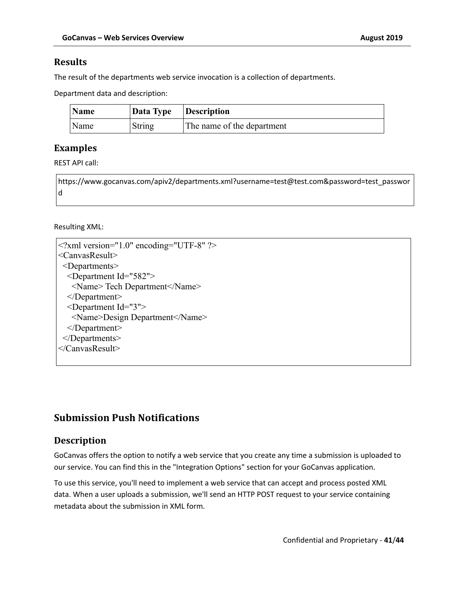#### **Results**

The result of the departments web service invocation is a collection of departments.

Department data and description:

| Name | Data Type Description |                            |
|------|-----------------------|----------------------------|
| Name | String                | The name of the department |

### **Examples**

REST API call:

https://www.gocanvas.com/apiv2/departments.xml?username=test@test.com&password=test\_passwor d

#### Resulting XML:

| $\leq$ ?xml version="1.0" encoding="UTF-8" ?> |
|-----------------------------------------------|
| <canvasresult></canvasresult>                 |
| $\leq$ Departments $\geq$                     |
| <department id="582"></department>            |
| <name>Tech Department</name>                  |
| $<$ Department $>$                            |
| $\leq$ Department Id="3">                     |
| <name>Design Department</name>                |
| $<$ Department>                               |
| $<$ /Departments>                             |
| $\langle$ Canvas Result $\rangle$             |
|                                               |

### **Submission Push Notifications**

### **Description**

GoCanvas offers the option to notify a web service that you create any time a submission is uploaded to our service. You can find this in the "Integration Options" section for your GoCanvas application.

To use this service, you'll need to implement a web service that can accept and process posted XML data. When a user uploads a submission, we'll send an HTTP POST request to your service containing metadata about the submission in XML form.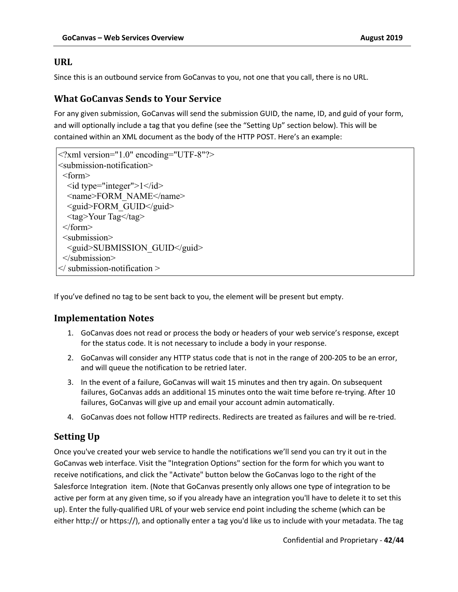#### **URL**

Since this is an outbound service from GoCanvas to you, not one that you call, there is no URL.

#### **What GoCanvas Sends to Your Service**

For any given submission, GoCanvas will send the submission GUID, the name, ID, and guid of your form, and will optionally include a tag that you define (see the "Setting Up" section below). This will be contained within an XML document as the body of the HTTP POST. Here's an example:

```
<?xml version="1.0" encoding="UTF-8"?>
<submission-notification>
<form>
 \leid type="integer">1\le/id>
 <name>FORM_NAME</name>
  <guid>FORM_GUID</guid>
 <tag>Your Tag</tag>
</form>
<submission>
  <guid>SUBMISSION_GUID</guid>
</submission>
\le/ submission-notification >
```
If you've defined no tag to be sent back to you, the element will be present but empty.

#### **Implementation Notes**

- 1. GoCanvas does not read or process the body or headers of your web service's response, except for the status code. It is not necessary to include a body in your response.
- 2. GoCanvas will consider any HTTP status code that is not in the range of 200-205 to be an error, and will queue the notification to be retried later.
- 3. In the event of a failure, GoCanvas will wait 15 minutes and then try again. On subsequent failures, GoCanvas adds an additional 15 minutes onto the wait time before re-trying. After 10 failures, GoCanvas will give up and email your account admin automatically.
- 4. GoCanvas does not follow HTTP redirects. Redirects are treated as failures and will be re-tried.

### **Setting Up**

Once you've created your web service to handle the notifications we'll send you can try it out in the GoCanvas web interface. Visit the "Integration Options" section for the form for which you want to receive notifications, and click the "Activate" button below the GoCanvas logo to the right of the Salesforce Integration item. (Note that GoCanvas presently only allows one type of integration to be active per form at any given time, so if you already have an integration you'll have to delete it to set this up). Enter the fully-qualified URL of your web service end point including the scheme (which can be either http:// or https://), and optionally enter a tag you'd like us to include with your metadata. The tag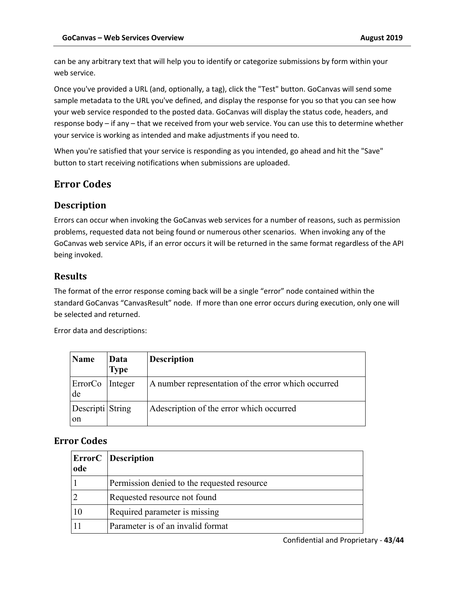can be any arbitrary text that will help you to identify or categorize submissions by form within your web service.

Once you've provided a URL (and, optionally, a tag), click the "Test" button. GoCanvas will send some sample metadata to the URL you've defined, and display the response for you so that you can see how your web service responded to the posted data. GoCanvas will display the status code, headers, and response body – if any – that we received from your web service. You can use this to determine whether your service is working as intended and make adjustments if you need to.

When you're satisfied that your service is responding as you intended, go ahead and hit the "Save" button to start receiving notifications when submissions are uploaded.

## **Error Codes**

### **Description**

Errors can occur when invoking the GoCanvas web services for a number of reasons, such as permission problems, requested data not being found or numerous other scenarios. When invoking any of the GoCanvas web service APIs, if an error occurs it will be returned in the same format regardless of the API being invoked.

### **Results**

The format of the error response coming back will be a single "error" node contained within the standard GoCanvas "CanvasResult" node. If more than one error occurs during execution, only one will be selected and returned.

Error data and descriptions:

| Name                   | Data<br><b>Type</b> | <b>Description</b>                                  |
|------------------------|---------------------|-----------------------------------------------------|
| ErrorCo Integer<br>de  |                     | A number representation of the error which occurred |
| Descripti String<br>on |                     | Adescription of the error which occurred            |

### **Error Codes**

| ode | <b>ErrorC</b> Description                   |
|-----|---------------------------------------------|
|     | Permission denied to the requested resource |
|     | Requested resource not found                |
| 10  | Required parameter is missing               |
|     | Parameter is of an invalid format           |

Confidential and Proprietary - **43**/**44**